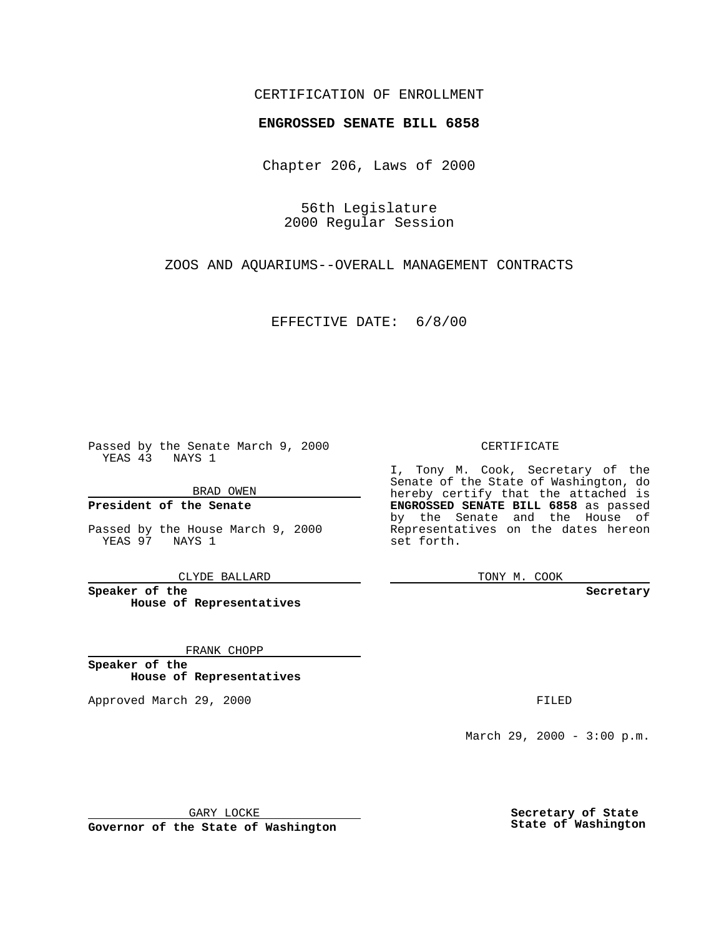### CERTIFICATION OF ENROLLMENT

# **ENGROSSED SENATE BILL 6858**

Chapter 206, Laws of 2000

56th Legislature 2000 Regular Session

ZOOS AND AQUARIUMS--OVERALL MANAGEMENT CONTRACTS

EFFECTIVE DATE: 6/8/00

Passed by the Senate March 9, 2000 YEAS 43 NAYS 1

BRAD OWEN

**President of the Senate**

Passed by the House March 9, 2000 YEAS 97 NAYS 1

CLYDE BALLARD

**Speaker of the House of Representatives**

FRANK CHOPP

**Speaker of the House of Representatives**

Approved March 29, 2000 FILED

#### CERTIFICATE

I, Tony M. Cook, Secretary of the Senate of the State of Washington, do hereby certify that the attached is **ENGROSSED SENATE BILL 6858** as passed by the Senate and the House of Representatives on the dates hereon set forth.

TONY M. COOK

#### **Secretary**

March 29, 2000 - 3:00 p.m.

GARY LOCKE

**Governor of the State of Washington**

**Secretary of State State of Washington**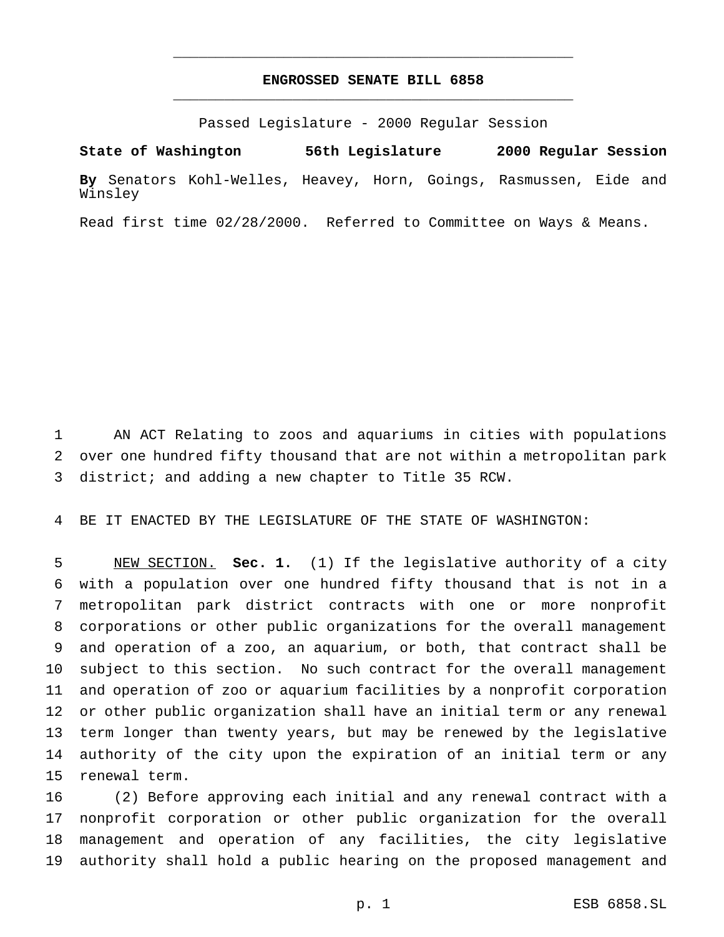## **ENGROSSED SENATE BILL 6858** \_\_\_\_\_\_\_\_\_\_\_\_\_\_\_\_\_\_\_\_\_\_\_\_\_\_\_\_\_\_\_\_\_\_\_\_\_\_\_\_\_\_\_\_\_\_\_

\_\_\_\_\_\_\_\_\_\_\_\_\_\_\_\_\_\_\_\_\_\_\_\_\_\_\_\_\_\_\_\_\_\_\_\_\_\_\_\_\_\_\_\_\_\_\_

Passed Legislature - 2000 Regular Session

**State of Washington 56th Legislature 2000 Regular Session By** Senators Kohl-Welles, Heavey, Horn, Goings, Rasmussen, Eide and Winsley

Read first time 02/28/2000. Referred to Committee on Ways & Means.

 AN ACT Relating to zoos and aquariums in cities with populations over one hundred fifty thousand that are not within a metropolitan park district; and adding a new chapter to Title 35 RCW.

BE IT ENACTED BY THE LEGISLATURE OF THE STATE OF WASHINGTON:

 NEW SECTION. **Sec. 1.** (1) If the legislative authority of a city with a population over one hundred fifty thousand that is not in a metropolitan park district contracts with one or more nonprofit corporations or other public organizations for the overall management and operation of a zoo, an aquarium, or both, that contract shall be subject to this section. No such contract for the overall management and operation of zoo or aquarium facilities by a nonprofit corporation or other public organization shall have an initial term or any renewal term longer than twenty years, but may be renewed by the legislative authority of the city upon the expiration of an initial term or any renewal term.

 (2) Before approving each initial and any renewal contract with a nonprofit corporation or other public organization for the overall management and operation of any facilities, the city legislative authority shall hold a public hearing on the proposed management and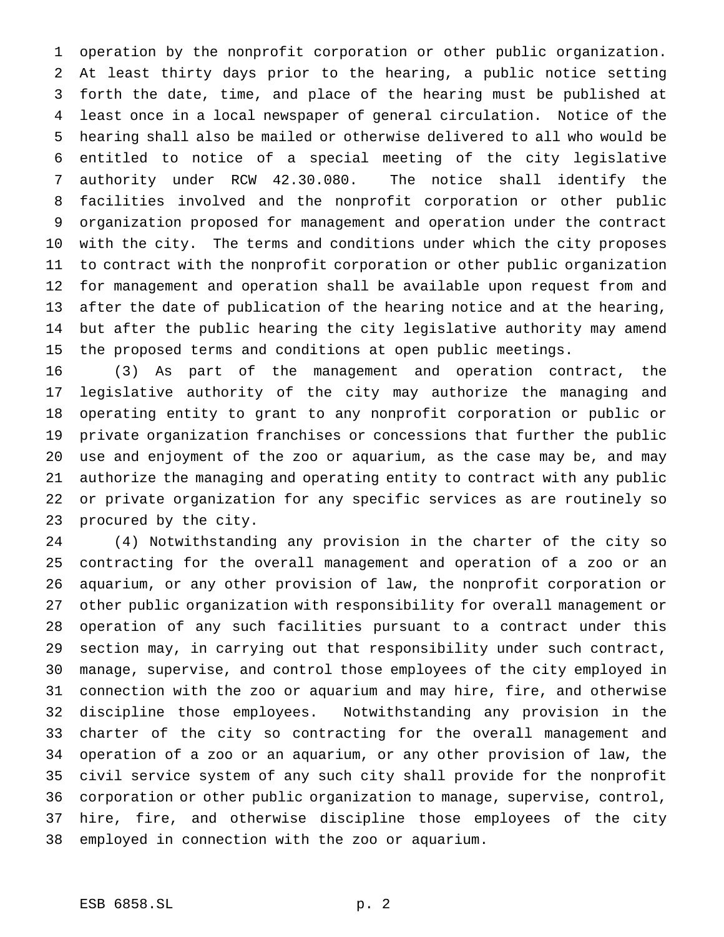operation by the nonprofit corporation or other public organization. At least thirty days prior to the hearing, a public notice setting forth the date, time, and place of the hearing must be published at least once in a local newspaper of general circulation. Notice of the hearing shall also be mailed or otherwise delivered to all who would be entitled to notice of a special meeting of the city legislative authority under RCW 42.30.080. The notice shall identify the facilities involved and the nonprofit corporation or other public organization proposed for management and operation under the contract with the city. The terms and conditions under which the city proposes to contract with the nonprofit corporation or other public organization for management and operation shall be available upon request from and after the date of publication of the hearing notice and at the hearing, but after the public hearing the city legislative authority may amend the proposed terms and conditions at open public meetings.

 (3) As part of the management and operation contract, the legislative authority of the city may authorize the managing and operating entity to grant to any nonprofit corporation or public or private organization franchises or concessions that further the public use and enjoyment of the zoo or aquarium, as the case may be, and may authorize the managing and operating entity to contract with any public or private organization for any specific services as are routinely so procured by the city.

 (4) Notwithstanding any provision in the charter of the city so contracting for the overall management and operation of a zoo or an aquarium, or any other provision of law, the nonprofit corporation or other public organization with responsibility for overall management or operation of any such facilities pursuant to a contract under this section may, in carrying out that responsibility under such contract, manage, supervise, and control those employees of the city employed in connection with the zoo or aquarium and may hire, fire, and otherwise discipline those employees. Notwithstanding any provision in the charter of the city so contracting for the overall management and operation of a zoo or an aquarium, or any other provision of law, the civil service system of any such city shall provide for the nonprofit corporation or other public organization to manage, supervise, control, hire, fire, and otherwise discipline those employees of the city employed in connection with the zoo or aquarium.